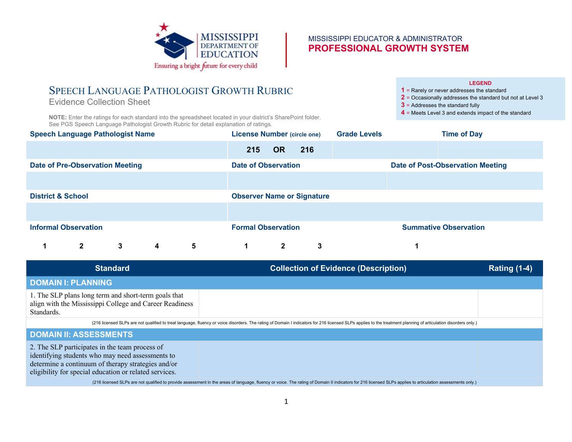

#### MISSISSIPPI EDUCATOR & ADMINISTRATOR **PROFESSIONAL GROWTH SYSTEM**

# SPEECH LANGUAGE PATHOLOGIST GROWTH RUBRIC

Evidence Collection Sheet

**NOTE:** Enter the ratings for each standard into the spreadsheet located in your district's SharePoint folder. See PGS Speech Language Pathologist Growth Rubric for detail explanation of ratings.

#### **LEGEND**

**1** = Rarely or never addresses the standard

- **2** = Occasionally addresses the standard but not at Level 3
- **3** = Addresses the standard fully
- **4** = Meets Level 3 and extends impact of the standard

| <b>Speech Language Pathologist Name</b> |              |   |   | <b>License Number (circle one)</b> |     |              | <b>Grade Levels</b> |                                         | <b>Time of Day</b>           |  |
|-----------------------------------------|--------------|---|---|------------------------------------|-----|--------------|---------------------|-----------------------------------------|------------------------------|--|
|                                         |              |   |   |                                    | 215 | <b>OR</b>    | 216                 |                                         |                              |  |
| <b>Date of Pre-Observation Meeting</b>  |              |   |   | Date of Observation                |     |              |                     | <b>Date of Post-Observation Meeting</b> |                              |  |
|                                         |              |   |   |                                    |     |              |                     |                                         |                              |  |
| <b>District &amp; School</b>            |              |   |   | <b>Observer Name or Signature</b>  |     |              |                     |                                         |                              |  |
|                                         |              |   |   |                                    |     |              |                     |                                         |                              |  |
| <b>Informal Observation</b>             |              |   |   | <b>Formal Observation</b>          |     |              |                     |                                         | <b>Summative Observation</b> |  |
|                                         | $\mathbf{2}$ | 3 | 4 | 5                                  | 1   | $\mathbf{2}$ | 3                   |                                         |                              |  |

| <b>Standard</b>                                                                                                               | <b>Collection of Evidence (Description)</b> | <b>Rating (1-4)</b> |
|-------------------------------------------------------------------------------------------------------------------------------|---------------------------------------------|---------------------|
| <b>DOMAIN I: PLANNING</b>                                                                                                     |                                             |                     |
| 1. The SLP plans long term and short-term goals that<br>align with the Mississippi College and Career Readiness<br>Standards. |                                             |                     |

(216 licensed SLPs are not qualified to treat language, fluency or voice disorders. The rating of Domain I indicators for 216 licensed SLPs applies to the treatment planning of articulation disorders only.)

### **DOMAIN II: ASSESSMENTS**

2. The SLP participates in the team process of identifying students who may need assessments to determine a continuum of therapy strategies and/or eligibility for special education or related services.

(216 licensed SLPs are not qualified to provide assessment in the areas of language, fluency or voice. The rating of Domain II indicators for 216 licensed SLPs applies to articulation assessments only.)